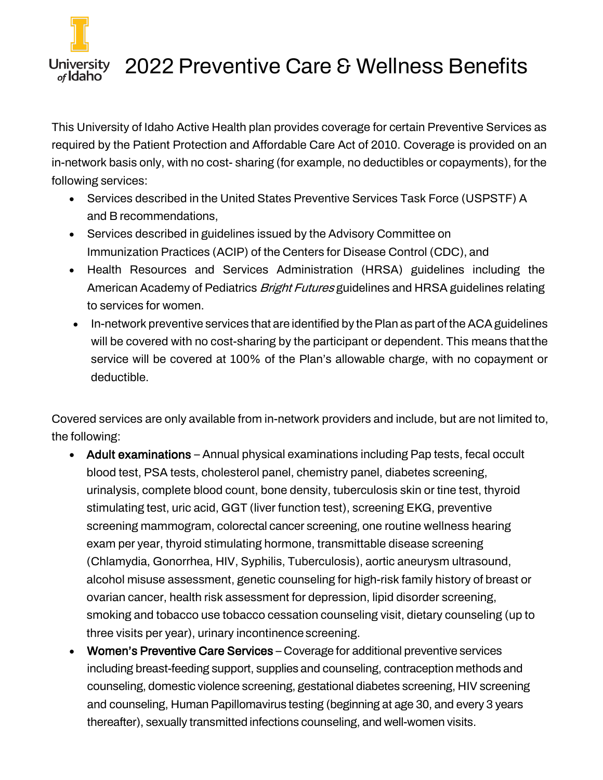

## University 2022 Preventive Care & Wellness Benefits

This University of Idaho Active Health plan provides coverage for certain Preventive Services as required by the Patient Protection and Affordable Care Act of 2010. Coverage is provided on an in-network basis only, with no cost- sharing (for example, no deductibles or copayments), for the following services:

- Services described in the United States Preventive Services Task Force (USPSTF) A and B recommendations,
- Services described in guidelines issued by the Advisory Committee on Immunization Practices (ACIP) of the Centers for Disease Control (CDC), and
- Health Resources and Services Administration (HRSA) guidelines including the American Academy of Pediatrics *Bright Futures* guidelines and HRSA guidelines relating to services for women.
- In-network preventive services that are identified by the Plan as part of the ACA guidelines will be covered with no cost-sharing by the participant or dependent. This means thatthe service will be covered at 100% of the Plan's allowable charge, with no copayment or deductible.

Covered services are only available from in-network providers and include, but are not limited to, the following:

- Adult examinations Annual physical examinations including Pap tests, fecal occult blood test, PSA tests, cholesterol panel, chemistry panel, diabetes screening, urinalysis, complete blood count, bone density, tuberculosis skin or tine test, thyroid stimulating test, uric acid, GGT (liver function test), screening EKG, preventive screening mammogram, colorectal cancer screening, one routine wellness hearing exam per year, thyroid stimulating hormone, transmittable disease screening (Chlamydia, Gonorrhea, HIV, Syphilis, Tuberculosis), aortic aneurysm ultrasound, alcohol misuse assessment, genetic counseling for high-risk family history of breast or ovarian cancer, health risk assessment for depression, lipid disorder screening, smoking and tobacco use tobacco cessation counseling visit, dietary counseling (up to three visits per year), urinary incontinence screening.
- Women's Preventive Care Services Coverage for additional preventive services including breast-feeding support, supplies and counseling, contraception methods and counseling, domestic violence screening, gestational diabetes screening, HIV screening and counseling, Human Papillomavirus testing (beginning at age 30, and every 3 years thereafter), sexually transmitted infections counseling, and well-women visits.